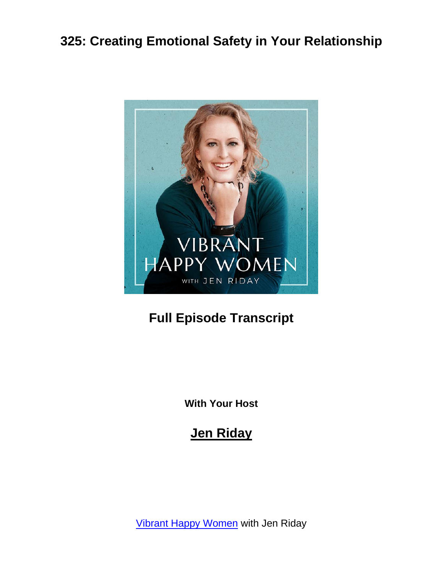

## **Full Episode Transcript**

**With Your Host**

#### **Jen Riday**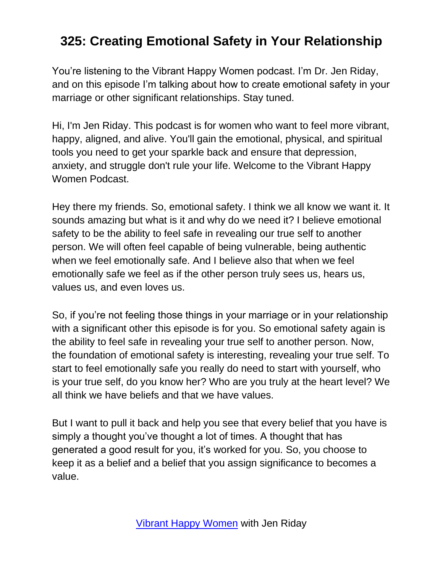You're listening to the Vibrant Happy Women podcast. I'm Dr. Jen Riday, and on this episode I'm talking about how to create emotional safety in your marriage or other significant relationships. Stay tuned.

Hi, I'm Jen Riday. This podcast is for women who want to feel more vibrant, happy, aligned, and alive. You'll gain the emotional, physical, and spiritual tools you need to get your sparkle back and ensure that depression, anxiety, and struggle don't rule your life. Welcome to the Vibrant Happy Women Podcast.

Hey there my friends. So, emotional safety. I think we all know we want it. It sounds amazing but what is it and why do we need it? I believe emotional safety to be the ability to feel safe in revealing our true self to another person. We will often feel capable of being vulnerable, being authentic when we feel emotionally safe. And I believe also that when we feel emotionally safe we feel as if the other person truly sees us, hears us, values us, and even loves us.

So, if you're not feeling those things in your marriage or in your relationship with a significant other this episode is for you. So emotional safety again is the ability to feel safe in revealing your true self to another person. Now, the foundation of emotional safety is interesting, revealing your true self. To start to feel emotionally safe you really do need to start with yourself, who is your true self, do you know her? Who are you truly at the heart level? We all think we have beliefs and that we have values.

But I want to pull it back and help you see that every belief that you have is simply a thought you've thought a lot of times. A thought that has generated a good result for you, it's worked for you. So, you choose to keep it as a belief and a belief that you assign significance to becomes a value.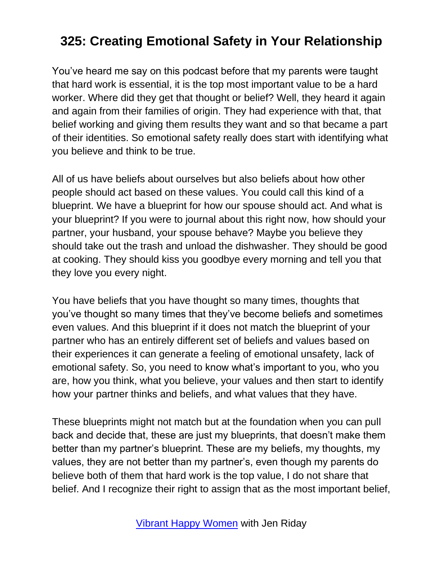You've heard me say on this podcast before that my parents were taught that hard work is essential, it is the top most important value to be a hard worker. Where did they get that thought or belief? Well, they heard it again and again from their families of origin. They had experience with that, that belief working and giving them results they want and so that became a part of their identities. So emotional safety really does start with identifying what you believe and think to be true.

All of us have beliefs about ourselves but also beliefs about how other people should act based on these values. You could call this kind of a blueprint. We have a blueprint for how our spouse should act. And what is your blueprint? If you were to journal about this right now, how should your partner, your husband, your spouse behave? Maybe you believe they should take out the trash and unload the dishwasher. They should be good at cooking. They should kiss you goodbye every morning and tell you that they love you every night.

You have beliefs that you have thought so many times, thoughts that you've thought so many times that they've become beliefs and sometimes even values. And this blueprint if it does not match the blueprint of your partner who has an entirely different set of beliefs and values based on their experiences it can generate a feeling of emotional unsafety, lack of emotional safety. So, you need to know what's important to you, who you are, how you think, what you believe, your values and then start to identify how your partner thinks and beliefs, and what values that they have.

These blueprints might not match but at the foundation when you can pull back and decide that, these are just my blueprints, that doesn't make them better than my partner's blueprint. These are my beliefs, my thoughts, my values, they are not better than my partner's, even though my parents do believe both of them that hard work is the top value, I do not share that belief. And I recognize their right to assign that as the most important belief,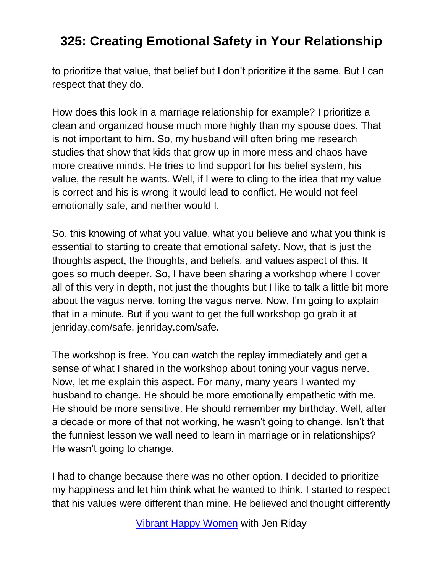to prioritize that value, that belief but I don't prioritize it the same. But I can respect that they do.

How does this look in a marriage relationship for example? I prioritize a clean and organized house much more highly than my spouse does. That is not important to him. So, my husband will often bring me research studies that show that kids that grow up in more mess and chaos have more creative minds. He tries to find support for his belief system, his value, the result he wants. Well, if I were to cling to the idea that my value is correct and his is wrong it would lead to conflict. He would not feel emotionally safe, and neither would I.

So, this knowing of what you value, what you believe and what you think is essential to starting to create that emotional safety. Now, that is just the thoughts aspect, the thoughts, and beliefs, and values aspect of this. It goes so much deeper. So, I have been sharing a workshop where I cover all of this very in depth, not just the thoughts but I like to talk a little bit more about the vagus nerve, toning the vagus nerve. Now, I'm going to explain that in a minute. But if you want to get the full workshop go grab it at jenriday.com/safe, jenriday.com/safe.

The workshop is free. You can watch the replay immediately and get a sense of what I shared in the workshop about toning your vagus nerve. Now, let me explain this aspect. For many, many years I wanted my husband to change. He should be more emotionally empathetic with me. He should be more sensitive. He should remember my birthday. Well, after a decade or more of that not working, he wasn't going to change. Isn't that the funniest lesson we wall need to learn in marriage or in relationships? He wasn't going to change.

I had to change because there was no other option. I decided to prioritize my happiness and let him think what he wanted to think. I started to respect that his values were different than mine. He believed and thought differently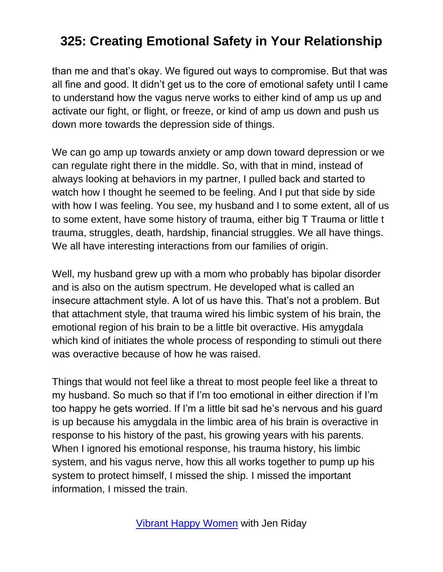than me and that's okay. We figured out ways to compromise. But that was all fine and good. It didn't get us to the core of emotional safety until I came to understand how the vagus nerve works to either kind of amp us up and activate our fight, or flight, or freeze, or kind of amp us down and push us down more towards the depression side of things.

We can go amp up towards anxiety or amp down toward depression or we can regulate right there in the middle. So, with that in mind, instead of always looking at behaviors in my partner, I pulled back and started to watch how I thought he seemed to be feeling. And I put that side by side with how I was feeling. You see, my husband and I to some extent, all of us to some extent, have some history of trauma, either big T Trauma or little t trauma, struggles, death, hardship, financial struggles. We all have things. We all have interesting interactions from our families of origin.

Well, my husband grew up with a mom who probably has bipolar disorder and is also on the autism spectrum. He developed what is called an insecure attachment style. A lot of us have this. That's not a problem. But that attachment style, that trauma wired his limbic system of his brain, the emotional region of his brain to be a little bit overactive. His amygdala which kind of initiates the whole process of responding to stimuli out there was overactive because of how he was raised.

Things that would not feel like a threat to most people feel like a threat to my husband. So much so that if I'm too emotional in either direction if I'm too happy he gets worried. If I'm a little bit sad he's nervous and his guard is up because his amygdala in the limbic area of his brain is overactive in response to his history of the past, his growing years with his parents. When I ignored his emotional response, his trauma history, his limbic system, and his vagus nerve, how this all works together to pump up his system to protect himself, I missed the ship. I missed the important information, I missed the train.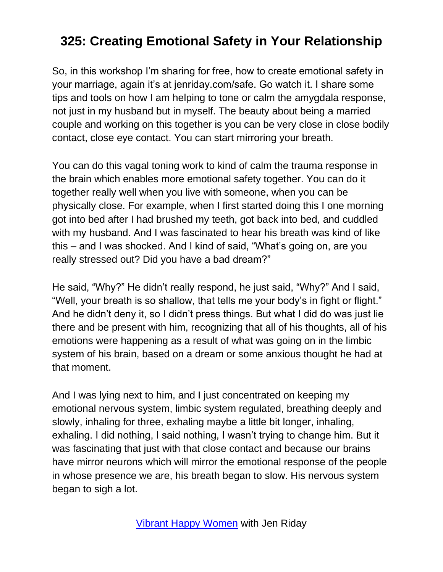So, in this workshop I'm sharing for free, how to create emotional safety in your marriage, again it's at jenriday.com/safe. Go watch it. I share some tips and tools on how I am helping to tone or calm the amygdala response, not just in my husband but in myself. The beauty about being a married couple and working on this together is you can be very close in close bodily contact, close eye contact. You can start mirroring your breath.

You can do this vagal toning work to kind of calm the trauma response in the brain which enables more emotional safety together. You can do it together really well when you live with someone, when you can be physically close. For example, when I first started doing this I one morning got into bed after I had brushed my teeth, got back into bed, and cuddled with my husband. And I was fascinated to hear his breath was kind of like this – and I was shocked. And I kind of said, "What's going on, are you really stressed out? Did you have a bad dream?"

He said, "Why?" He didn't really respond, he just said, "Why?" And I said, "Well, your breath is so shallow, that tells me your body's in fight or flight." And he didn't deny it, so I didn't press things. But what I did do was just lie there and be present with him, recognizing that all of his thoughts, all of his emotions were happening as a result of what was going on in the limbic system of his brain, based on a dream or some anxious thought he had at that moment.

And I was lying next to him, and I just concentrated on keeping my emotional nervous system, limbic system regulated, breathing deeply and slowly, inhaling for three, exhaling maybe a little bit longer, inhaling, exhaling. I did nothing, I said nothing, I wasn't trying to change him. But it was fascinating that just with that close contact and because our brains have mirror neurons which will mirror the emotional response of the people in whose presence we are, his breath began to slow. His nervous system began to sigh a lot.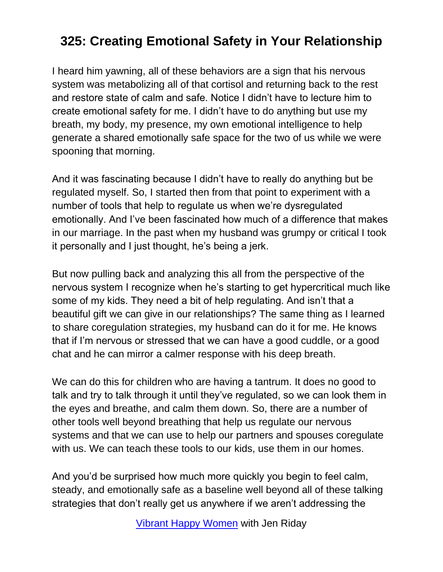I heard him yawning, all of these behaviors are a sign that his nervous system was metabolizing all of that cortisol and returning back to the rest and restore state of calm and safe. Notice I didn't have to lecture him to create emotional safety for me. I didn't have to do anything but use my breath, my body, my presence, my own emotional intelligence to help generate a shared emotionally safe space for the two of us while we were spooning that morning.

And it was fascinating because I didn't have to really do anything but be regulated myself. So, I started then from that point to experiment with a number of tools that help to regulate us when we're dysregulated emotionally. And I've been fascinated how much of a difference that makes in our marriage. In the past when my husband was grumpy or critical I took it personally and I just thought, he's being a jerk.

But now pulling back and analyzing this all from the perspective of the nervous system I recognize when he's starting to get hypercritical much like some of my kids. They need a bit of help regulating. And isn't that a beautiful gift we can give in our relationships? The same thing as I learned to share coregulation strategies, my husband can do it for me. He knows that if I'm nervous or stressed that we can have a good cuddle, or a good chat and he can mirror a calmer response with his deep breath.

We can do this for children who are having a tantrum. It does no good to talk and try to talk through it until they've regulated, so we can look them in the eyes and breathe, and calm them down. So, there are a number of other tools well beyond breathing that help us regulate our nervous systems and that we can use to help our partners and spouses coregulate with us. We can teach these tools to our kids, use them in our homes.

And you'd be surprised how much more quickly you begin to feel calm, steady, and emotionally safe as a baseline well beyond all of these talking strategies that don't really get us anywhere if we aren't addressing the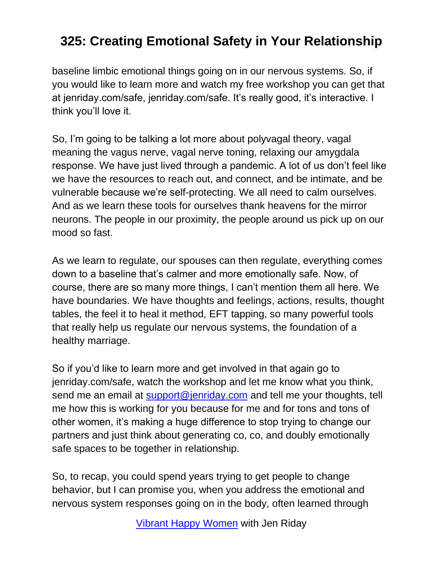baseline limbic emotional things going on in our nervous systems. So, if you would like to learn more and watch my free workshop you can get that at jenriday.com/safe, jenriday.com/safe. It's really good, it's interactive. I think you'll love it.

So, I'm going to be talking a lot more about polyvagal theory, vagal meaning the vagus nerve, vagal nerve toning, relaxing our amygdala response. We have just lived through a pandemic. A lot of us don't feel like we have the resources to reach out, and connect, and be intimate, and be vulnerable because we're self-protecting. We all need to calm ourselves. And as we learn these tools for ourselves thank heavens for the mirror neurons. The people in our proximity, the people around us pick up on our mood so fast.

As we learn to regulate, our spouses can then regulate, everything comes down to a baseline that's calmer and more emotionally safe. Now, of course, there are so many more things, I can't mention them all here. We have boundaries. We have thoughts and feelings, actions, results, thought tables, the feel it to heal it method, EFT tapping, so many powerful tools that really help us regulate our nervous systems, the foundation of a healthy marriage.

So if you'd like to learn more and get involved in that again go to jenriday.com/safe, watch the workshop and let me know what you think, send me an email at **support@jenriday.com** and tell me your thoughts, tell me how this is working for you because for me and for tons and tons of other women, it's making a huge difference to stop trying to change our partners and just think about generating co, co, and doubly emotionally safe spaces to be together in relationship.

So, to recap, you could spend years trying to get people to change behavior, but I can promise you, when you address the emotional and nervous system responses going on in the body, often learned through